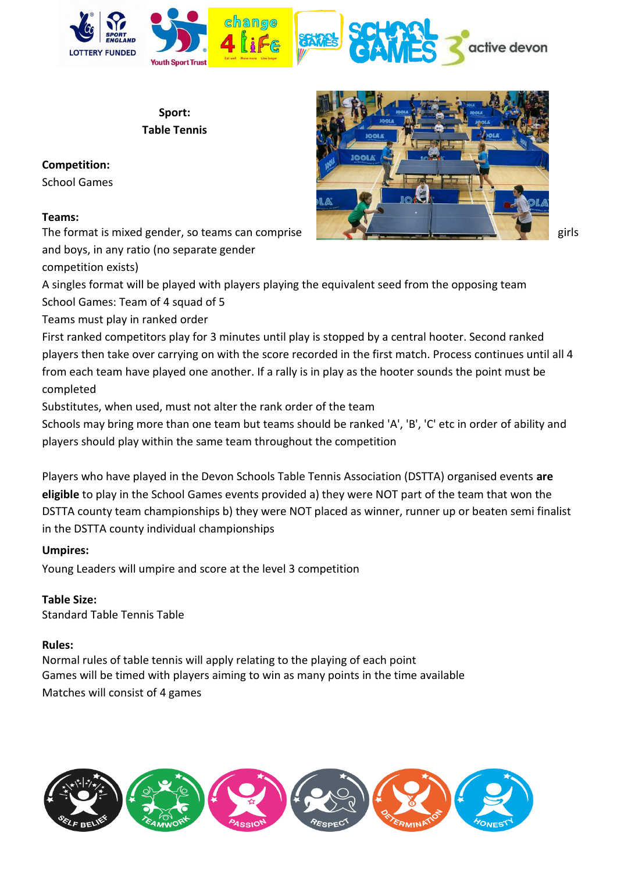

**Sport: Table Tennis**

# **Competition:**

School Games

# **Teams:**

The format is mixed gender, so teams can comprise given the control of the girls girls and boys, in any ratio (no separate gender

competition exists)



A singles format will be played with players playing the equivalent seed from the opposing team School Games: Team of 4 squad of 5

Teams must play in ranked order

First ranked competitors play for 3 minutes until play is stopped by a central hooter. Second ranked players then take over carrying on with the score recorded in the first match. Process continues until all 4 from each team have played one another. If a rally is in play as the hooter sounds the point must be completed

Substitutes, when used, must not alter the rank order of the team

Schools may bring more than one team but teams should be ranked 'A', 'B', 'C' etc in order of ability and players should play within the same team throughout the competition

Players who have played in the Devon Schools Table Tennis Association (DSTTA) organised events **are eligible** to play in the School Games events provided a) they were NOT part of the team that won the DSTTA county team championships b) they were NOT placed as winner, runner up or beaten semi finalist in the DSTTA county individual championships

# **Umpires:**

Young Leaders will umpire and score at the level 3 competition

**Table Size:**  Standard Table Tennis Table

#### **Rules:**

Normal rules of table tennis will apply relating to the playing of each point Games will be timed with players aiming to win as many points in the time available Matches will consist of 4 games